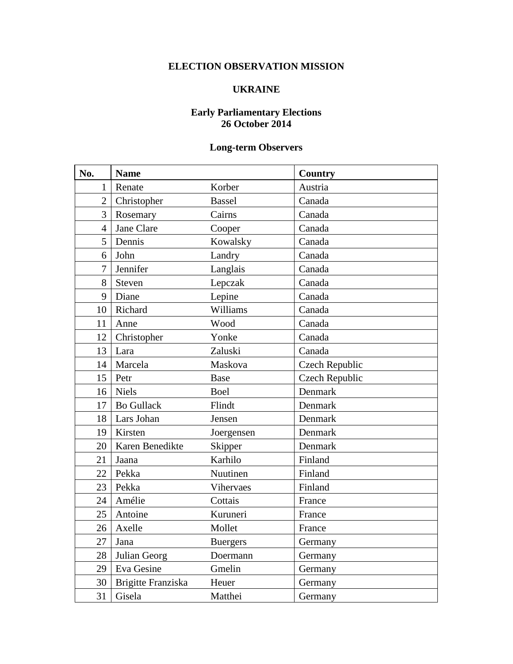## **ELECTION OBSERVATION MISSION**

## **UKRAINE**

## **Early Parliamentary Elections 26 October 2014**

## **Long-term Observers**

| No.            | <b>Name</b>        |                 | <b>Country</b>        |
|----------------|--------------------|-----------------|-----------------------|
| $\mathbf{1}$   | Renate             | Korber          | Austria               |
| $\overline{2}$ | Christopher        | <b>Bassel</b>   | Canada                |
| $\overline{3}$ | Rosemary           | Cairns          | Canada                |
| $\overline{4}$ | Jane Clare         | Cooper          | Canada                |
| 5              | Dennis             | Kowalsky        | Canada                |
| 6              | John               | Landry          | Canada                |
| $\overline{7}$ | Jennifer           | Langlais        | Canada                |
| 8              | Steven             | Lepczak         | Canada                |
| 9              | Diane              | Lepine          | Canada                |
| 10             | Richard            | Williams        | Canada                |
| 11             | Anne               | Wood            | Canada                |
| 12             | Christopher        | Yonke           | Canada                |
| 13             | Lara               | Zaluski         | Canada                |
| 14             | Marcela            | Maskova         | <b>Czech Republic</b> |
| 15             | Petr               | <b>Base</b>     | <b>Czech Republic</b> |
| 16             | <b>Niels</b>       | Boel            | Denmark               |
| 17             | <b>Bo Gullack</b>  | Flindt          | Denmark               |
| 18             | Lars Johan         | Jensen          | Denmark               |
| 19             | Kirsten            | Joergensen      | Denmark               |
| 20             | Karen Benedikte    | Skipper         | Denmark               |
| 21             | Jaana              | Karhilo         | Finland               |
| 22             | Pekka              | Nuutinen        | Finland               |
| 23             | Pekka              | Vihervaes       | Finland               |
| 24             | Amélie             | Cottais         | France                |
| 25             | Antoine            | Kuruneri        | France                |
| 26             | Axelle             | Mollet          | France                |
| 27             | Jana               | <b>Buergers</b> | Germany               |
| 28             | Julian Georg       | Doermann        | Germany               |
| 29             | Eva Gesine         | Gmelin          | Germany               |
| 30             | Brigitte Franziska | Heuer           | Germany               |
| 31             | Gisela             | Matthei         | Germany               |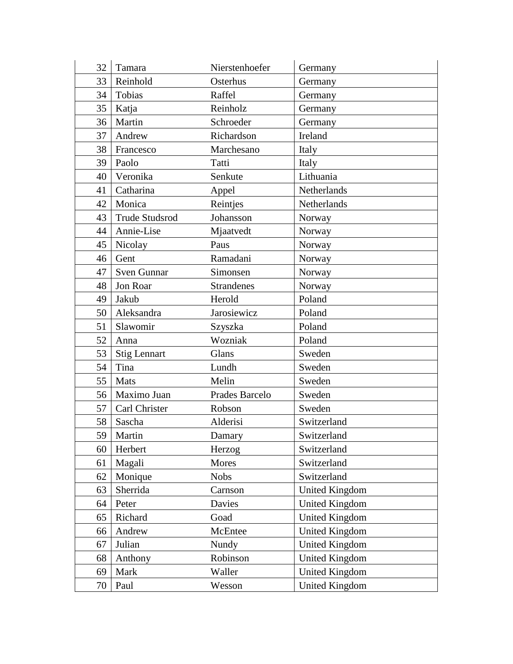| 32 | Tamara                | Nierstenhoefer    | Germany               |
|----|-----------------------|-------------------|-----------------------|
| 33 | Reinhold              | Osterhus          | Germany               |
| 34 | Tobias                | Raffel            | Germany               |
| 35 | Katja                 | Reinholz          | Germany               |
| 36 | Martin                | Schroeder         | Germany               |
| 37 | Andrew                | Richardson        | Ireland               |
| 38 | Francesco             | Marchesano        | Italy                 |
| 39 | Paolo                 | Tatti             | Italy                 |
| 40 | Veronika              | Senkute           | Lithuania             |
| 41 | Catharina             | Appel             | Netherlands           |
| 42 | Monica                | Reintjes          | Netherlands           |
| 43 | <b>Trude Studsrod</b> | Johansson         | Norway                |
| 44 | Annie-Lise            | Mjaatvedt         | Norway                |
| 45 | Nicolay               | Paus              | Norway                |
| 46 | Gent                  | Ramadani          | Norway                |
| 47 | <b>Sven Gunnar</b>    | Simonsen          | Norway                |
| 48 | Jon Roar              | <b>Strandenes</b> | Norway                |
| 49 | Jakub                 | Herold            | Poland                |
| 50 | Aleksandra            | Jarosiewicz       | Poland                |
| 51 | Slawomir              | Szyszka           | Poland                |
| 52 | Anna                  | Wozniak           | Poland                |
| 53 | <b>Stig Lennart</b>   | Glans             | Sweden                |
| 54 | Tina                  | Lundh             | Sweden                |
| 55 | Mats                  | Melin             | Sweden                |
| 56 | Maximo Juan           | Prades Barcelo    | Sweden                |
| 57 | Carl Christer         | Robson            | Sweden                |
| 58 | Sascha                | Alderisi          | Switzerland           |
| 59 | Martin                | Damary            | Switzerland           |
| 60 | Herbert               | Herzog            | Switzerland           |
| 61 | Magali                | Mores             | Switzerland           |
| 62 | Monique               | <b>Nobs</b>       | Switzerland           |
| 63 | Sherrida              | Carnson           | <b>United Kingdom</b> |
| 64 | Peter                 | Davies            | <b>United Kingdom</b> |
| 65 | Richard               | Goad              | <b>United Kingdom</b> |
| 66 | Andrew                | McEntee           | <b>United Kingdom</b> |
| 67 | Julian                | Nundy             | <b>United Kingdom</b> |
| 68 | Anthony               | Robinson          | <b>United Kingdom</b> |
| 69 | Mark                  | Waller            | <b>United Kingdom</b> |
| 70 | Paul                  | Wesson            | <b>United Kingdom</b> |